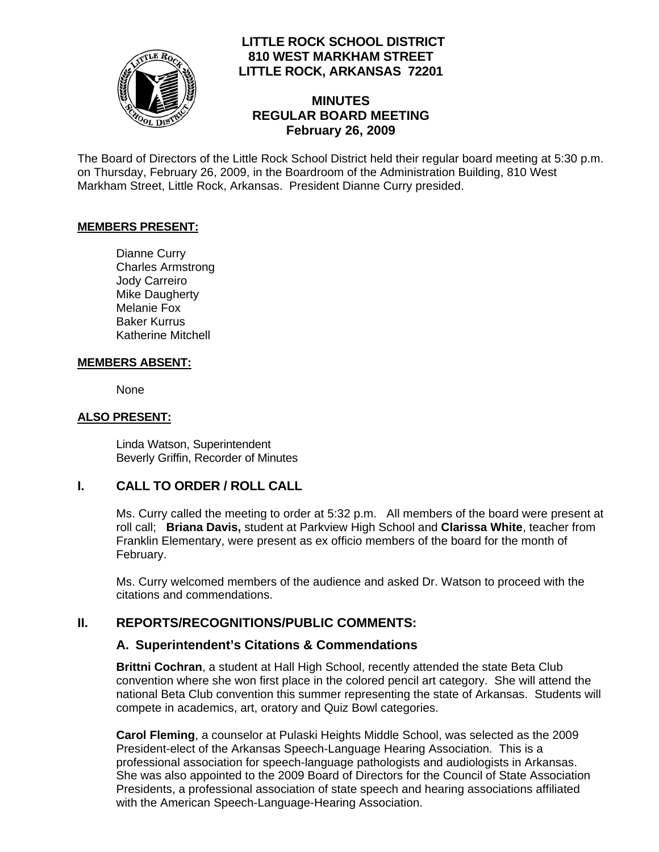

# **LITTLE ROCK SCHOOL DISTRICT 810 WEST MARKHAM STREET LITTLE ROCK, ARKANSAS 72201**

## **MINUTES REGULAR BOARD MEETING February 26, 2009**

The Board of Directors of the Little Rock School District held their regular board meeting at 5:30 p.m. on Thursday, February 26, 2009, in the Boardroom of the Administration Building, 810 West Markham Street, Little Rock, Arkansas. President Dianne Curry presided.

#### **MEMBERS PRESENT:**

Dianne Curry Charles Armstrong Jody Carreiro Mike Daugherty Melanie Fox Baker Kurrus Katherine Mitchell

### **MEMBERS ABSENT:**

None

### **ALSO PRESENT:**

 Linda Watson, Superintendent Beverly Griffin, Recorder of Minutes

## **I. CALL TO ORDER / ROLL CALL**

Ms. Curry called the meeting to order at 5:32 p.m. All members of the board were present at roll call; **Briana Davis,** student at Parkview High School and **Clarissa White**, teacher from Franklin Elementary, were present as ex officio members of the board for the month of February.

Ms. Curry welcomed members of the audience and asked Dr. Watson to proceed with the citations and commendations.

## **II. REPORTS/RECOGNITIONS/PUBLIC COMMENTS:**

## **A. Superintendent's Citations & Commendations**

**Brittni Cochran**, a student at Hall High School, recently attended the state Beta Club convention where she won first place in the colored pencil art category. She will attend the national Beta Club convention this summer representing the state of Arkansas. Students will compete in academics, art, oratory and Quiz Bowl categories.

**Carol Fleming**, a counselor at Pulaski Heights Middle School, was selected as the 2009 President-elect of the Arkansas Speech-Language Hearing Association. This is a professional association for speech-language pathologists and audiologists in Arkansas. She was also appointed to the 2009 Board of Directors for the Council of State Association Presidents, a professional association of state speech and hearing associations affiliated with the American Speech-Language-Hearing Association.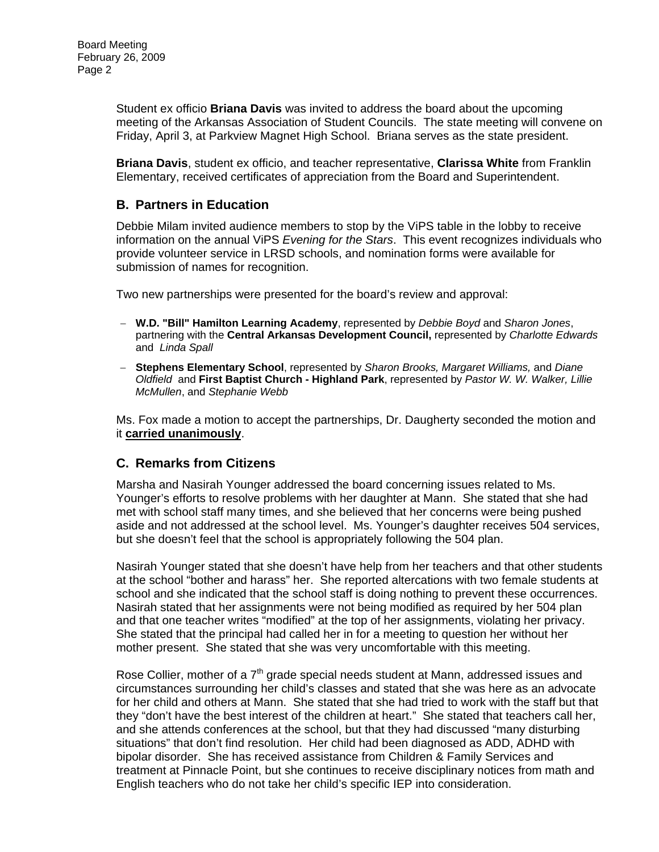Student ex officio **Briana Davis** was invited to address the board about the upcoming meeting of the Arkansas Association of Student Councils. The state meeting will convene on Friday, April 3, at Parkview Magnet High School. Briana serves as the state president.

**Briana Davis**, student ex officio, and teacher representative, **Clarissa White** from Franklin Elementary, received certificates of appreciation from the Board and Superintendent.

## **B. Partners in Education**

Debbie Milam invited audience members to stop by the ViPS table in the lobby to receive information on the annual ViPS *Evening for the Stars*. This event recognizes individuals who provide volunteer service in LRSD schools, and nomination forms were available for submission of names for recognition.

Two new partnerships were presented for the board's review and approval:

- − **W.D. "Bill" Hamilton Learning Academy**, represented by *Debbie Boyd* and *Sharon Jones*, partnering with the **Central Arkansas Development Council,** represented by *Charlotte Edwards*  and *Linda Spall*
- − **Stephens Elementary School**, represented by *Sharon Brooks, Margaret Williams,* and *Diane Oldfield* and **First Baptist Church - Highland Park**, represented by *Pastor W. W. Walker, Lillie McMullen*, and *Stephanie Webb*

Ms. Fox made a motion to accept the partnerships, Dr. Daugherty seconded the motion and it **carried unanimously**.

## **C. Remarks from Citizens**

Marsha and Nasirah Younger addressed the board concerning issues related to Ms. Younger's efforts to resolve problems with her daughter at Mann. She stated that she had met with school staff many times, and she believed that her concerns were being pushed aside and not addressed at the school level. Ms. Younger's daughter receives 504 services, but she doesn't feel that the school is appropriately following the 504 plan.

Nasirah Younger stated that she doesn't have help from her teachers and that other students at the school "bother and harass" her. She reported altercations with two female students at school and she indicated that the school staff is doing nothing to prevent these occurrences. Nasirah stated that her assignments were not being modified as required by her 504 plan and that one teacher writes "modified" at the top of her assignments, violating her privacy. She stated that the principal had called her in for a meeting to question her without her mother present. She stated that she was very uncomfortable with this meeting.

Rose Collier, mother of a  $7<sup>th</sup>$  grade special needs student at Mann, addressed issues and circumstances surrounding her child's classes and stated that she was here as an advocate for her child and others at Mann. She stated that she had tried to work with the staff but that they "don't have the best interest of the children at heart." She stated that teachers call her, and she attends conferences at the school, but that they had discussed "many disturbing situations" that don't find resolution. Her child had been diagnosed as ADD, ADHD with bipolar disorder. She has received assistance from Children & Family Services and treatment at Pinnacle Point, but she continues to receive disciplinary notices from math and English teachers who do not take her child's specific IEP into consideration.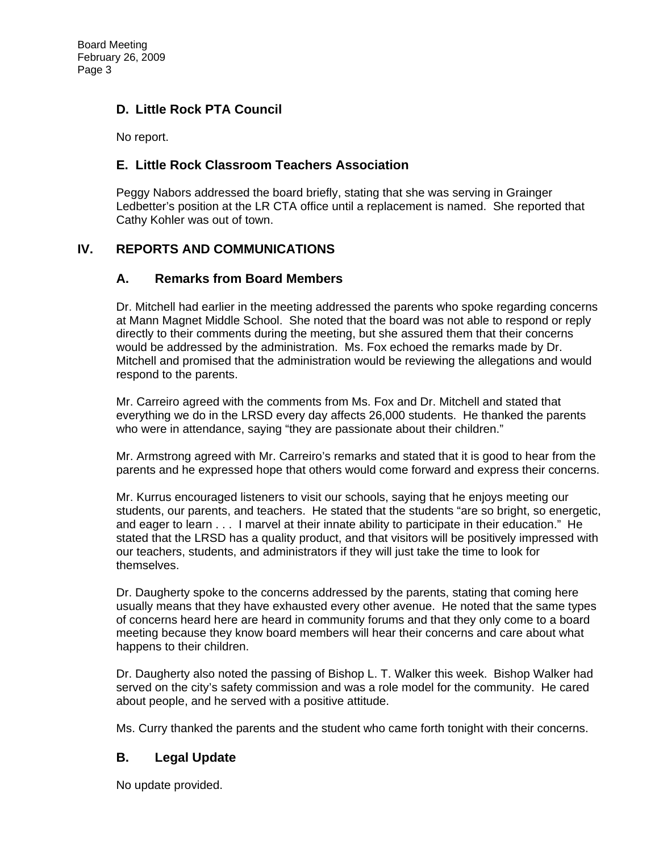# **D. Little Rock PTA Council**

No report.

# **E. Little Rock Classroom Teachers Association**

Peggy Nabors addressed the board briefly, stating that she was serving in Grainger Ledbetter's position at the LR CTA office until a replacement is named. She reported that Cathy Kohler was out of town.

# **IV. REPORTS AND COMMUNICATIONS**

# **A. Remarks from Board Members**

Dr. Mitchell had earlier in the meeting addressed the parents who spoke regarding concerns at Mann Magnet Middle School. She noted that the board was not able to respond or reply directly to their comments during the meeting, but she assured them that their concerns would be addressed by the administration. Ms. Fox echoed the remarks made by Dr. Mitchell and promised that the administration would be reviewing the allegations and would respond to the parents.

Mr. Carreiro agreed with the comments from Ms. Fox and Dr. Mitchell and stated that everything we do in the LRSD every day affects 26,000 students. He thanked the parents who were in attendance, saying "they are passionate about their children."

Mr. Armstrong agreed with Mr. Carreiro's remarks and stated that it is good to hear from the parents and he expressed hope that others would come forward and express their concerns.

Mr. Kurrus encouraged listeners to visit our schools, saying that he enjoys meeting our students, our parents, and teachers. He stated that the students "are so bright, so energetic, and eager to learn . . . I marvel at their innate ability to participate in their education." He stated that the LRSD has a quality product, and that visitors will be positively impressed with our teachers, students, and administrators if they will just take the time to look for themselves.

Dr. Daugherty spoke to the concerns addressed by the parents, stating that coming here usually means that they have exhausted every other avenue. He noted that the same types of concerns heard here are heard in community forums and that they only come to a board meeting because they know board members will hear their concerns and care about what happens to their children.

Dr. Daugherty also noted the passing of Bishop L. T. Walker this week. Bishop Walker had served on the city's safety commission and was a role model for the community. He cared about people, and he served with a positive attitude.

Ms. Curry thanked the parents and the student who came forth tonight with their concerns.

## **B. Legal Update**

No update provided.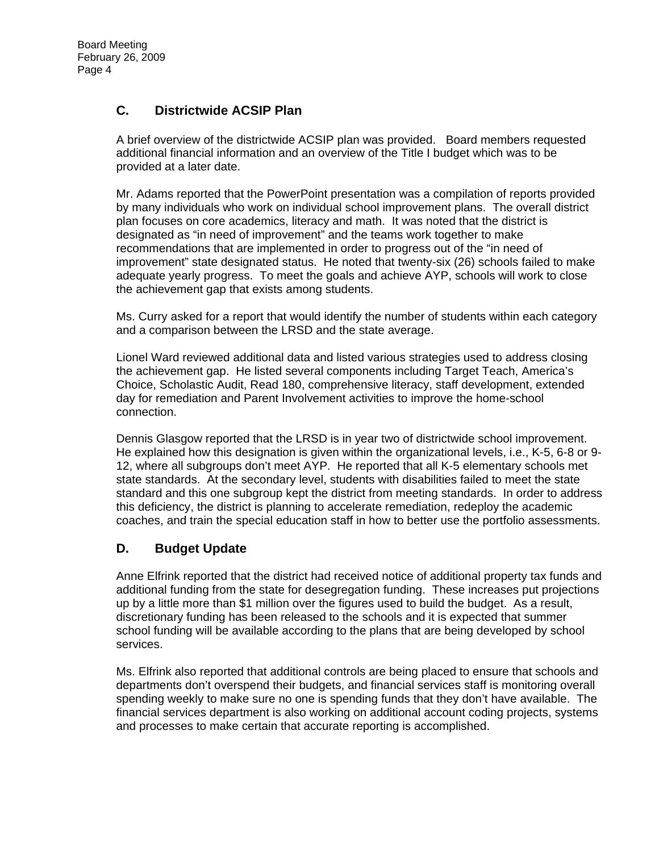# **C. Districtwide ACSIP Plan**

A brief overview of the districtwide ACSIP plan was provided. Board members requested additional financial information and an overview of the Title I budget which was to be provided at a later date.

Mr. Adams reported that the PowerPoint presentation was a compilation of reports provided by many individuals who work on individual school improvement plans. The overall district plan focuses on core academics, literacy and math. It was noted that the district is designated as "in need of improvement" and the teams work together to make recommendations that are implemented in order to progress out of the "in need of improvement" state designated status. He noted that twenty-six (26) schools failed to make adequate yearly progress. To meet the goals and achieve AYP, schools will work to close the achievement gap that exists among students.

Ms. Curry asked for a report that would identify the number of students within each category and a comparison between the LRSD and the state average.

Lionel Ward reviewed additional data and listed various strategies used to address closing the achievement gap. He listed several components including Target Teach, America's Choice, Scholastic Audit, Read 180, comprehensive literacy, staff development, extended day for remediation and Parent Involvement activities to improve the home-school connection.

Dennis Glasgow reported that the LRSD is in year two of districtwide school improvement. He explained how this designation is given within the organizational levels, i.e., K-5, 6-8 or 9- 12, where all subgroups don't meet AYP. He reported that all K-5 elementary schools met state standards. At the secondary level, students with disabilities failed to meet the state standard and this one subgroup kept the district from meeting standards. In order to address this deficiency, the district is planning to accelerate remediation, redeploy the academic coaches, and train the special education staff in how to better use the portfolio assessments.

## **D. Budget Update**

Anne Elfrink reported that the district had received notice of additional property tax funds and additional funding from the state for desegregation funding. These increases put projections up by a little more than \$1 million over the figures used to build the budget. As a result, discretionary funding has been released to the schools and it is expected that summer school funding will be available according to the plans that are being developed by school services.

Ms. Elfrink also reported that additional controls are being placed to ensure that schools and departments don't overspend their budgets, and financial services staff is monitoring overall spending weekly to make sure no one is spending funds that they don't have available. The financial services department is also working on additional account coding projects, systems and processes to make certain that accurate reporting is accomplished.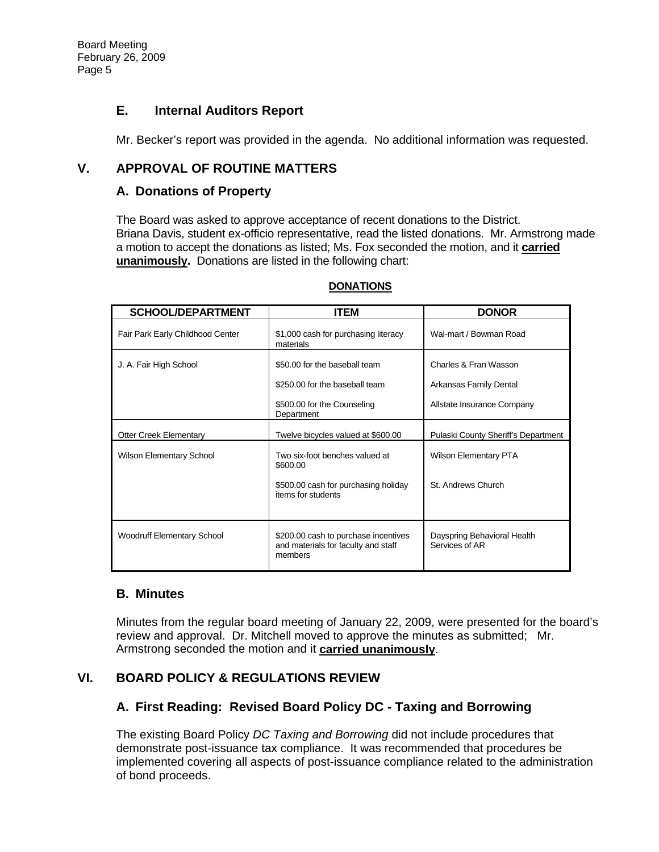## **E. Internal Auditors Report**

Mr. Becker's report was provided in the agenda. No additional information was requested.

# **V. APPROVAL OF ROUTINE MATTERS**

## **A. Donations of Property**

The Board was asked to approve acceptance of recent donations to the District. Briana Davis, student ex-officio representative, read the listed donations. Mr. Armstrong made a motion to accept the donations as listed; Ms. Fox seconded the motion, and it **carried unanimously.** Donations are listed in the following chart:

| <b>SCHOOL/DEPARTMENT</b>         | ITEM                                                                                   | <b>DONOR</b>                                    |
|----------------------------------|----------------------------------------------------------------------------------------|-------------------------------------------------|
| Fair Park Early Childhood Center | \$1,000 cash for purchasing literacy<br>materials                                      | Wal-mart / Bowman Road                          |
| J. A. Fair High School           | \$50.00 for the baseball team<br>\$250.00 for the baseball team                        | Charles & Fran Wasson<br>Arkansas Family Dental |
|                                  | \$500.00 for the Counseling<br>Department                                              | Allstate Insurance Company                      |
| <b>Otter Creek Elementary</b>    | Twelve bicycles valued at \$600.00                                                     | Pulaski County Sheriff's Department             |
| Wilson Elementary School         | Two six-foot benches valued at<br>\$600.00                                             | <b>Wilson Elementary PTA</b>                    |
|                                  | \$500.00 cash for purchasing holiday<br>items for students                             | St. Andrews Church                              |
| Woodruff Elementary School       | \$200.00 cash to purchase incentives<br>and materials for faculty and staff<br>members | Dayspring Behavioral Health<br>Services of AR   |

#### **DONATIONS**

## **B. Minutes**

Minutes from the regular board meeting of January 22, 2009, were presented for the board's review and approval. Dr. Mitchell moved to approve the minutes as submitted; Mr. Armstrong seconded the motion and it **carried unanimously**.

# **VI. BOARD POLICY & REGULATIONS REVIEW**

## **A. First Reading: Revised Board Policy DC - Taxing and Borrowing**

The existing Board Policy *DC Taxing and Borrowing* did not include procedures that demonstrate post-issuance tax compliance. It was recommended that procedures be implemented covering all aspects of post-issuance compliance related to the administration of bond proceeds.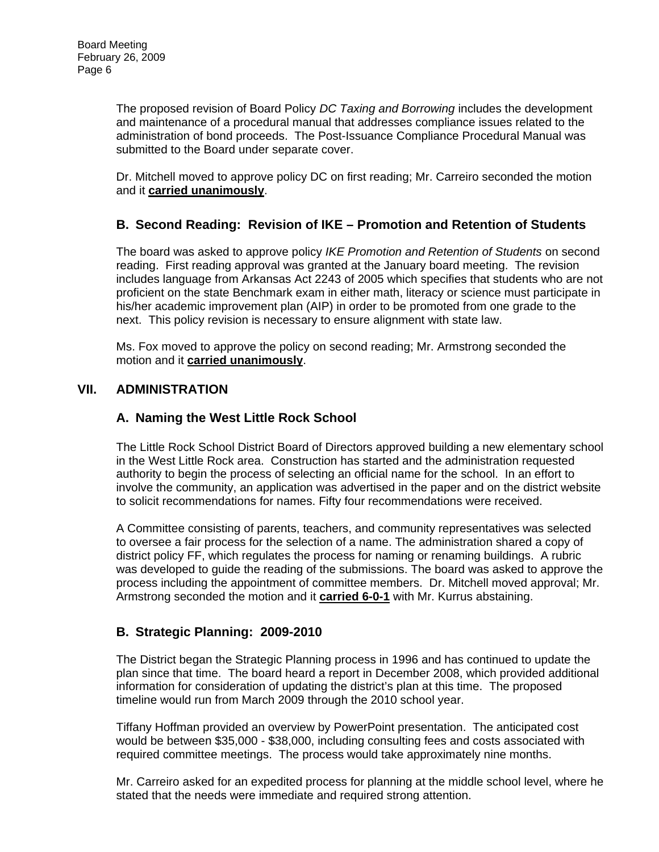The proposed revision of Board Policy *DC Taxing and Borrowing* includes the development and maintenance of a procedural manual that addresses compliance issues related to the administration of bond proceeds. The Post-Issuance Compliance Procedural Manual was submitted to the Board under separate cover.

Dr. Mitchell moved to approve policy DC on first reading; Mr. Carreiro seconded the motion and it **carried unanimously**.

# **B. Second Reading: Revision of IKE – Promotion and Retention of Students**

The board was asked to approve policy *IKE Promotion and Retention of Students* on second reading. First reading approval was granted at the January board meeting. The revision includes language from Arkansas Act 2243 of 2005 which specifies that students who are not proficient on the state Benchmark exam in either math, literacy or science must participate in his/her academic improvement plan (AIP) in order to be promoted from one grade to the next. This policy revision is necessary to ensure alignment with state law.

Ms. Fox moved to approve the policy on second reading; Mr. Armstrong seconded the motion and it **carried unanimously**.

### **VII. ADMINISTRATION**

## **A. Naming the West Little Rock School**

The Little Rock School District Board of Directors approved building a new elementary school in the West Little Rock area. Construction has started and the administration requested authority to begin the process of selecting an official name for the school. In an effort to involve the community, an application was advertised in the paper and on the district website to solicit recommendations for names. Fifty four recommendations were received.

A Committee consisting of parents, teachers, and community representatives was selected to oversee a fair process for the selection of a name. The administration shared a copy of district policy FF, which regulates the process for naming or renaming buildings. A rubric was developed to guide the reading of the submissions. The board was asked to approve the process including the appointment of committee members. Dr. Mitchell moved approval; Mr. Armstrong seconded the motion and it **carried 6-0-1** with Mr. Kurrus abstaining.

## **B. Strategic Planning: 2009-2010**

The District began the Strategic Planning process in 1996 and has continued to update the plan since that time. The board heard a report in December 2008, which provided additional information for consideration of updating the district's plan at this time. The proposed timeline would run from March 2009 through the 2010 school year.

Tiffany Hoffman provided an overview by PowerPoint presentation. The anticipated cost would be between \$35,000 - \$38,000, including consulting fees and costs associated with required committee meetings. The process would take approximately nine months.

Mr. Carreiro asked for an expedited process for planning at the middle school level, where he stated that the needs were immediate and required strong attention.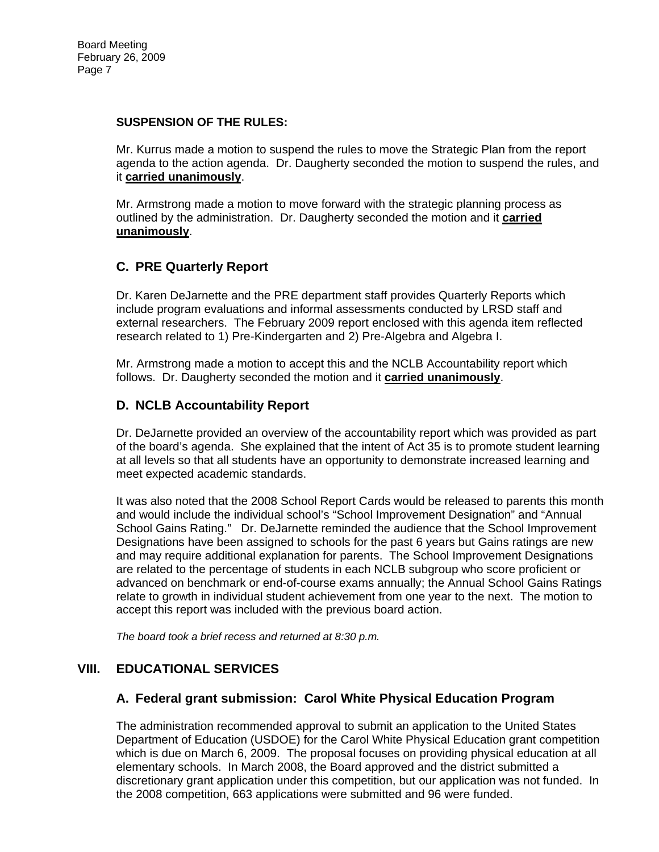#### **SUSPENSION OF THE RULES:**

Mr. Kurrus made a motion to suspend the rules to move the Strategic Plan from the report agenda to the action agenda. Dr. Daugherty seconded the motion to suspend the rules, and it **carried unanimously**.

Mr. Armstrong made a motion to move forward with the strategic planning process as outlined by the administration. Dr. Daugherty seconded the motion and it **carried unanimously**.

# **C. PRE Quarterly Report**

Dr. Karen DeJarnette and the PRE department staff provides Quarterly Reports which include program evaluations and informal assessments conducted by LRSD staff and external researchers. The February 2009 report enclosed with this agenda item reflected research related to 1) Pre-Kindergarten and 2) Pre-Algebra and Algebra I.

Mr. Armstrong made a motion to accept this and the NCLB Accountability report which follows. Dr. Daugherty seconded the motion and it **carried unanimously**.

# **D. NCLB Accountability Report**

Dr. DeJarnette provided an overview of the accountability report which was provided as part of the board's agenda. She explained that the intent of Act 35 is to promote student learning at all levels so that all students have an opportunity to demonstrate increased learning and meet expected academic standards.

It was also noted that the 2008 School Report Cards would be released to parents this month and would include the individual school's "School Improvement Designation" and "Annual School Gains Rating." Dr. DeJarnette reminded the audience that the School Improvement Designations have been assigned to schools for the past 6 years but Gains ratings are new and may require additional explanation for parents. The School Improvement Designations are related to the percentage of students in each NCLB subgroup who score proficient or advanced on benchmark or end-of-course exams annually; the Annual School Gains Ratings relate to growth in individual student achievement from one year to the next. The motion to accept this report was included with the previous board action.

*The board took a brief recess and returned at 8:30 p.m.* 

## **VIII. EDUCATIONAL SERVICES**

## **A. Federal grant submission: Carol White Physical Education Program**

The administration recommended approval to submit an application to the United States Department of Education (USDOE) for the Carol White Physical Education grant competition which is due on March 6, 2009. The proposal focuses on providing physical education at all elementary schools. In March 2008, the Board approved and the district submitted a discretionary grant application under this competition, but our application was not funded. In the 2008 competition, 663 applications were submitted and 96 were funded.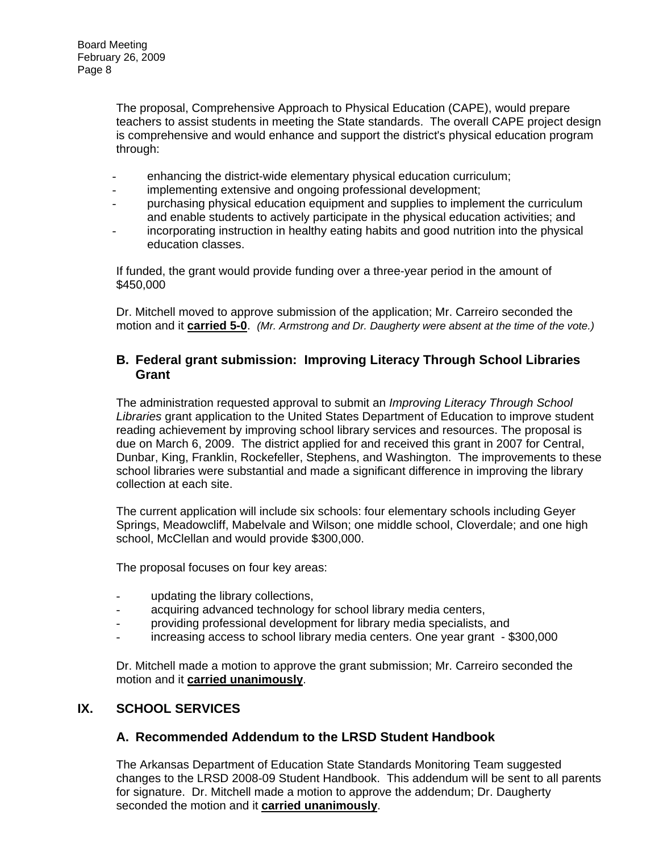The proposal, Comprehensive Approach to Physical Education (CAPE), would prepare teachers to assist students in meeting the State standards. The overall CAPE project design is comprehensive and would enhance and support the district's physical education program through:

- enhancing the district-wide elementary physical education curriculum;
- implementing extensive and ongoing professional development;
- purchasing physical education equipment and supplies to implement the curriculum and enable students to actively participate in the physical education activities; and
- incorporating instruction in healthy eating habits and good nutrition into the physical education classes.

If funded, the grant would provide funding over a three-year period in the amount of \$450,000

Dr. Mitchell moved to approve submission of the application; Mr. Carreiro seconded the motion and it **carried 5-0**. *(Mr. Armstrong and Dr. Daugherty were absent at the time of the vote.)* 

### **B. Federal grant submission: Improving Literacy Through School Libraries Grant**

The administration requested approval to submit an *Improving Literacy Through School Libraries* grant application to the United States Department of Education to improve student reading achievement by improving school library services and resources. The proposal is due on March 6, 2009. The district applied for and received this grant in 2007 for Central, Dunbar, King, Franklin, Rockefeller, Stephens, and Washington. The improvements to these school libraries were substantial and made a significant difference in improving the library collection at each site.

The current application will include six schools: four elementary schools including Geyer Springs, Meadowcliff, Mabelvale and Wilson; one middle school, Cloverdale; and one high school, McClellan and would provide \$300,000.

The proposal focuses on four key areas:

- updating the library collections,
- acquiring advanced technology for school library media centers,
- providing professional development for library media specialists, and
- increasing access to school library media centers. One year grant \$300,000

Dr. Mitchell made a motion to approve the grant submission; Mr. Carreiro seconded the motion and it **carried unanimously**.

#### **IX. SCHOOL SERVICES**

#### **A. Recommended Addendum to the LRSD Student Handbook**

The Arkansas Department of Education State Standards Monitoring Team suggested changes to the LRSD 2008-09 Student Handbook. This addendum will be sent to all parents for signature. Dr. Mitchell made a motion to approve the addendum; Dr. Daugherty seconded the motion and it **carried unanimously**.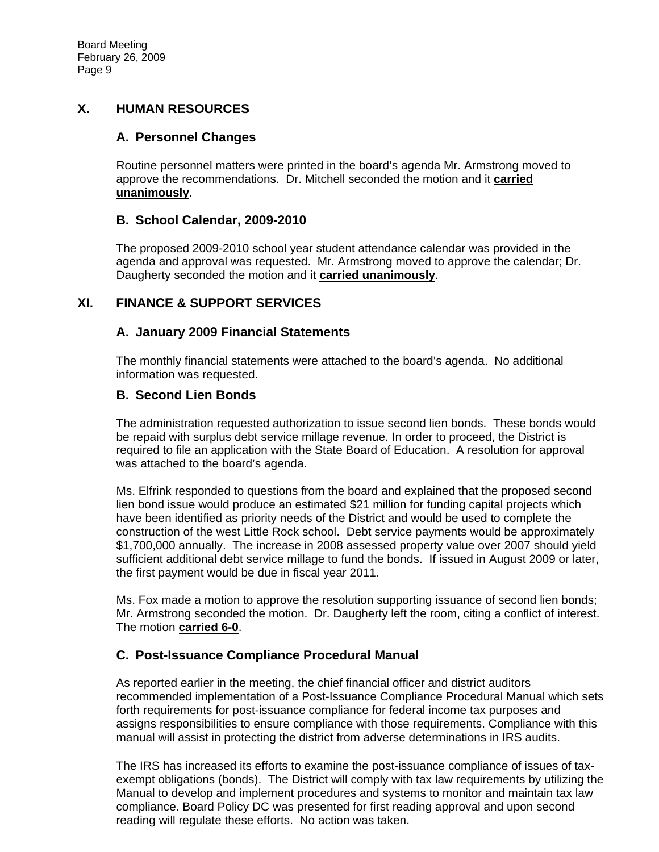## **X. HUMAN RESOURCES**

## **A. Personnel Changes**

Routine personnel matters were printed in the board's agenda Mr. Armstrong moved to approve the recommendations. Dr. Mitchell seconded the motion and it **carried unanimously**.

## **B. School Calendar, 2009-2010**

The proposed 2009-2010 school year student attendance calendar was provided in the agenda and approval was requested. Mr. Armstrong moved to approve the calendar; Dr. Daugherty seconded the motion and it **carried unanimously**.

# **XI. FINANCE & SUPPORT SERVICES**

## **A. January 2009 Financial Statements**

The monthly financial statements were attached to the board's agenda. No additional information was requested.

## **B. Second Lien Bonds**

The administration requested authorization to issue second lien bonds. These bonds would be repaid with surplus debt service millage revenue. In order to proceed, the District is required to file an application with the State Board of Education. A resolution for approval was attached to the board's agenda.

Ms. Elfrink responded to questions from the board and explained that the proposed second lien bond issue would produce an estimated \$21 million for funding capital projects which have been identified as priority needs of the District and would be used to complete the construction of the west Little Rock school. Debt service payments would be approximately \$1,700,000 annually. The increase in 2008 assessed property value over 2007 should yield sufficient additional debt service millage to fund the bonds. If issued in August 2009 or later, the first payment would be due in fiscal year 2011.

Ms. Fox made a motion to approve the resolution supporting issuance of second lien bonds; Mr. Armstrong seconded the motion. Dr. Daugherty left the room, citing a conflict of interest. The motion **carried 6-0**.

## **C. Post-Issuance Compliance Procedural Manual**

As reported earlier in the meeting, the chief financial officer and district auditors recommended implementation of a Post-Issuance Compliance Procedural Manual which sets forth requirements for post-issuance compliance for federal income tax purposes and assigns responsibilities to ensure compliance with those requirements. Compliance with this manual will assist in protecting the district from adverse determinations in IRS audits.

The IRS has increased its efforts to examine the post-issuance compliance of issues of taxexempt obligations (bonds). The District will comply with tax law requirements by utilizing the Manual to develop and implement procedures and systems to monitor and maintain tax law compliance. Board Policy DC was presented for first reading approval and upon second reading will regulate these efforts. No action was taken.